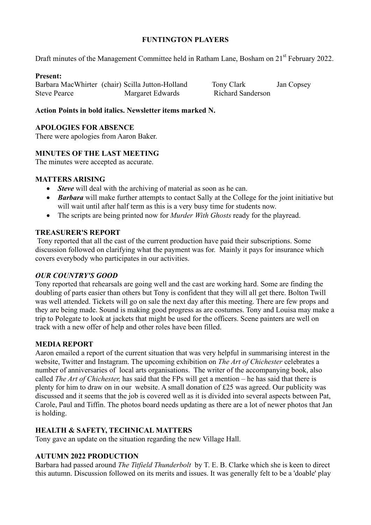### **FUNTINGTON PLAYERS**

Draft minutes of the Management Committee held in Ratham Lane, Bosham on 21<sup>st</sup> February 2022.

### **Present:**

Barbara MacWhirter (chair) Scilla Jutton-Holland Tony Clark Jan Copsey Steve Pearce Margaret Edwards Richard Sanderson

## **Action Points in bold italics. Newsletter items marked N.**

### **APOLOGIES FOR ABSENCE**

There were apologies from Aaron Baker.

# **MINUTES OF THE LAST MEETING**

The minutes were accepted as accurate.

### **MATTERS ARISING**

- *Steve* will deal with the archiving of material as soon as he can.
- *Barbara* will make further attempts to contact Sally at the College for the joint initiative but will wait until after half term as this is a very busy time for students now.
- The scripts are being printed now for *Murder With Ghosts* ready for the playread.

### **TREASURER'S REPORT**

Tony reported that all the cast of the current production have paid their subscriptions. Some discussion followed on clarifying what the payment was for. Mainly it pays for insurance which covers everybody who participates in our activities.

### *OUR COUNTRY'S GOOD*

Tony reported that rehearsals are going well and the cast are working hard. Some are finding the doubling of parts easier than others but Tony is confident that they will all get there. Bolton Twill was well attended. Tickets will go on sale the next day after this meeting. There are few props and they are being made. Sound is making good progress as are costumes. Tony and Louisa may make a trip to Polegate to look at jackets that might be used for the officers. Scene painters are well on track with a new offer of help and other roles have been filled.

### **MEDIA REPORT**

Aaron emailed a report of the current situation that was very helpful in summarising interest in the website, Twitter and Instagram. The upcoming exhibition on *The Art of Chichester* celebrates a number of anniversaries of local arts organisations. The writer of the accompanying book, also called *The Art of Chichester,* has said that the FPs will get a mention – he has said that there is plenty for him to draw on in our website. A small donation of £25 was agreed. Our publicity was discussed and it seems that the job is covered well as it is divided into several aspects between Pat, Carole, Paul and Tiffin. The photos board needs updating as there are a lot of newer photos that Jan is holding.

### **HEALTH & SAFETY, TECHNICAL MATTERS**

Tony gave an update on the situation regarding the new Village Hall.

# **AUTUMN 2022 PRODUCTION**

Barbara had passed around *The Titfield Thunderbolt* by T. E. B. Clarke which she is keen to direct this autumn. Discussion followed on its merits and issues. It was generally felt to be a 'doable' play